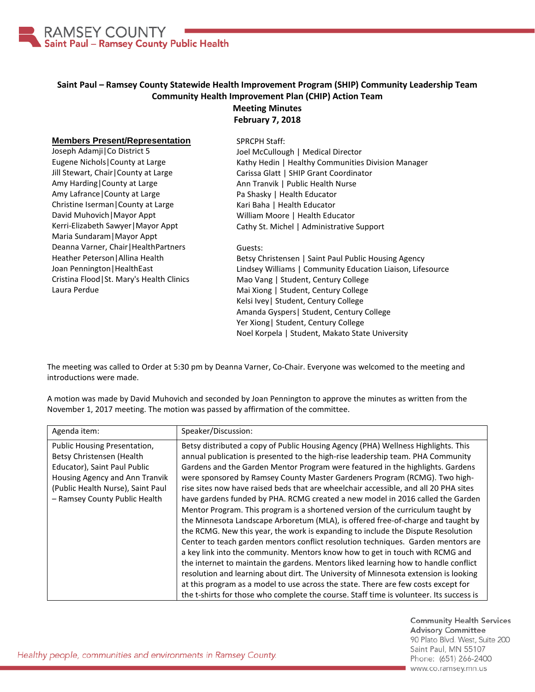

## **Saint Paul – Ramsey County Statewide Health Improvement Program (SHIP) Community Leadership Team Community Health Improvement Plan (CHIP) Action Team Meeting Minutes**

## **February 7, 2018**

## **Members Present/Representation**

Joseph Adamji|Co District 5 Eugene Nichols|County at Large Jill Stewart, Chair|County at Large Amy Harding|County at Large Amy Lafrance|County at Large Christine Iserman|County at Large David Muhovich|Mayor Appt Kerri-Elizabeth Sawyer|Mayor Appt Maria Sundaram|Mayor Appt Deanna Varner, Chair|HealthPartners Heather Peterson|Allina Health Joan Pennington|HealthEast Cristina Flood|St. Mary's Health Clinics Laura Perdue

SPRCPH Staff: Joel McCullough | Medical Director Kathy Hedin | Healthy Communities Division Manager Carissa Glatt | SHIP Grant Coordinator Ann Tranvik | Public Health Nurse Pa Shasky | Health Educator Kari Baha | Health Educator William Moore | Health Educator Cathy St. Michel | Administrative Support

## Guests:

Betsy Christensen | Saint Paul Public Housing Agency Lindsey Williams | Community Education Liaison, Lifesource Mao Vang | Student, Century College Mai Xiong | Student, Century College Kelsi Ivey| Student, Century College Amanda Gyspers| Student, Century College Yer Xiong| Student, Century College Noel Korpela | Student, Makato State University

The meeting was called to Order at 5:30 pm by Deanna Varner, Co-Chair. Everyone was welcomed to the meeting and introductions were made.

A motion was made by David Muhovich and seconded by Joan Pennington to approve the minutes as written from the November 1, 2017 meeting. The motion was passed by affirmation of the committee.

| Agenda item:                                                                                                                                                                                      | Speaker/Discussion:                                                                                                                                                                                                                                                                                                                                                                                                                                                                                                                                                                                                                                                                                                                                                                                                                                                                                                                                                                                                                                                                                                                                                                                                  |
|---------------------------------------------------------------------------------------------------------------------------------------------------------------------------------------------------|----------------------------------------------------------------------------------------------------------------------------------------------------------------------------------------------------------------------------------------------------------------------------------------------------------------------------------------------------------------------------------------------------------------------------------------------------------------------------------------------------------------------------------------------------------------------------------------------------------------------------------------------------------------------------------------------------------------------------------------------------------------------------------------------------------------------------------------------------------------------------------------------------------------------------------------------------------------------------------------------------------------------------------------------------------------------------------------------------------------------------------------------------------------------------------------------------------------------|
| Public Housing Presentation,<br>Betsy Christensen (Health<br>Educator), Saint Paul Public<br>Housing Agency and Ann Tranvik<br>(Public Health Nurse), Saint Paul<br>- Ramsey County Public Health | Betsy distributed a copy of Public Housing Agency (PHA) Wellness Highlights. This<br>annual publication is presented to the high-rise leadership team. PHA Community<br>Gardens and the Garden Mentor Program were featured in the highlights. Gardens<br>were sponsored by Ramsey County Master Gardeners Program (RCMG). Two high-<br>rise sites now have raised beds that are wheelchair accessible, and all 20 PHA sites<br>have gardens funded by PHA. RCMG created a new model in 2016 called the Garden<br>Mentor Program. This program is a shortened version of the curriculum taught by<br>the Minnesota Landscape Arboretum (MLA), is offered free-of-charge and taught by<br>the RCMG. New this year, the work is expanding to include the Dispute Resolution<br>Center to teach garden mentors conflict resolution techniques. Garden mentors are<br>a key link into the community. Mentors know how to get in touch with RCMG and<br>the internet to maintain the gardens. Mentors liked learning how to handle conflict<br>resolution and learning about dirt. The University of Minnesota extension is looking<br>at this program as a model to use across the state. There are few costs except for |
|                                                                                                                                                                                                   | the t-shirts for those who complete the course. Staff time is volunteer. Its success is                                                                                                                                                                                                                                                                                                                                                                                                                                                                                                                                                                                                                                                                                                                                                                                                                                                                                                                                                                                                                                                                                                                              |

**Community Health Services Advisory Committee** 90 Plato Blvd. West, Suite 200 Saint Paul, MN 55107 Phone: (651) 266-2400 www.co.ramsey.mn.us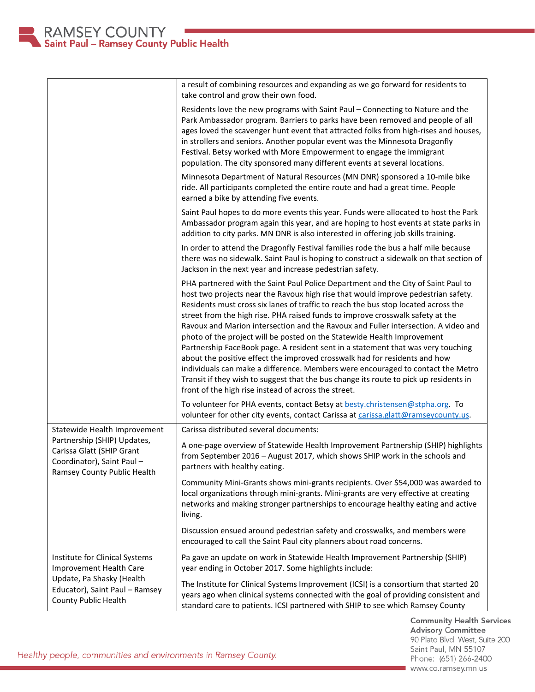|                                                                                                                                                         | a result of combining resources and expanding as we go forward for residents to<br>take control and grow their own food.                                                                                                                                                                                                                                                                                                                                                                                                                                                                                                                                                                                                                                                                                                                                                                                              |
|---------------------------------------------------------------------------------------------------------------------------------------------------------|-----------------------------------------------------------------------------------------------------------------------------------------------------------------------------------------------------------------------------------------------------------------------------------------------------------------------------------------------------------------------------------------------------------------------------------------------------------------------------------------------------------------------------------------------------------------------------------------------------------------------------------------------------------------------------------------------------------------------------------------------------------------------------------------------------------------------------------------------------------------------------------------------------------------------|
|                                                                                                                                                         | Residents love the new programs with Saint Paul - Connecting to Nature and the<br>Park Ambassador program. Barriers to parks have been removed and people of all<br>ages loved the scavenger hunt event that attracted folks from high-rises and houses,<br>in strollers and seniors. Another popular event was the Minnesota Dragonfly<br>Festival. Betsy worked with More Empowerment to engage the immigrant<br>population. The city sponsored many different events at several locations.                                                                                                                                                                                                                                                                                                                                                                                                                         |
|                                                                                                                                                         | Minnesota Department of Natural Resources (MN DNR) sponsored a 10-mile bike<br>ride. All participants completed the entire route and had a great time. People<br>earned a bike by attending five events.                                                                                                                                                                                                                                                                                                                                                                                                                                                                                                                                                                                                                                                                                                              |
|                                                                                                                                                         | Saint Paul hopes to do more events this year. Funds were allocated to host the Park<br>Ambassador program again this year, and are hoping to host events at state parks in<br>addition to city parks. MN DNR is also interested in offering job skills training.                                                                                                                                                                                                                                                                                                                                                                                                                                                                                                                                                                                                                                                      |
|                                                                                                                                                         | In order to attend the Dragonfly Festival families rode the bus a half mile because<br>there was no sidewalk. Saint Paul is hoping to construct a sidewalk on that section of<br>Jackson in the next year and increase pedestrian safety.                                                                                                                                                                                                                                                                                                                                                                                                                                                                                                                                                                                                                                                                             |
|                                                                                                                                                         | PHA partnered with the Saint Paul Police Department and the City of Saint Paul to<br>host two projects near the Ravoux high rise that would improve pedestrian safety.<br>Residents must cross six lanes of traffic to reach the bus stop located across the<br>street from the high rise. PHA raised funds to improve crosswalk safety at the<br>Ravoux and Marion intersection and the Ravoux and Fuller intersection. A video and<br>photo of the project will be posted on the Statewide Health Improvement<br>Partnership FaceBook page. A resident sent in a statement that was very touching<br>about the positive effect the improved crosswalk had for residents and how<br>individuals can make a difference. Members were encouraged to contact the Metro<br>Transit if they wish to suggest that the bus change its route to pick up residents in<br>front of the high rise instead of across the street. |
|                                                                                                                                                         | To volunteer for PHA events, contact Betsy at besty.christensen@stpha.org. To<br>volunteer for other city events, contact Carissa at carissa.glatt@ramseycounty.us.                                                                                                                                                                                                                                                                                                                                                                                                                                                                                                                                                                                                                                                                                                                                                   |
| Statewide Health Improvement                                                                                                                            | Carissa distributed several documents:                                                                                                                                                                                                                                                                                                                                                                                                                                                                                                                                                                                                                                                                                                                                                                                                                                                                                |
| Partnership (SHIP) Updates,<br>Carissa Glatt (SHIP Grant<br>Coordinator), Saint Paul-<br>Ramsey County Public Health                                    | A one-page overview of Statewide Health Improvement Partnership (SHIP) highlights<br>from September 2016 - August 2017, which shows SHIP work in the schools and<br>partners with healthy eating.                                                                                                                                                                                                                                                                                                                                                                                                                                                                                                                                                                                                                                                                                                                     |
|                                                                                                                                                         | Community Mini-Grants shows mini-grants recipients. Over \$54,000 was awarded to<br>local organizations through mini-grants. Mini-grants are very effective at creating<br>networks and making stronger partnerships to encourage healthy eating and active<br>living.                                                                                                                                                                                                                                                                                                                                                                                                                                                                                                                                                                                                                                                |
|                                                                                                                                                         | Discussion ensued around pedestrian safety and crosswalks, and members were<br>encouraged to call the Saint Paul city planners about road concerns.                                                                                                                                                                                                                                                                                                                                                                                                                                                                                                                                                                                                                                                                                                                                                                   |
| Institute for Clinical Systems<br>Improvement Health Care<br>Update, Pa Shasky (Health<br>Educator), Saint Paul - Ramsey<br><b>County Public Health</b> | Pa gave an update on work in Statewide Health Improvement Partnership (SHIP)<br>year ending in October 2017. Some highlights include:                                                                                                                                                                                                                                                                                                                                                                                                                                                                                                                                                                                                                                                                                                                                                                                 |
|                                                                                                                                                         | The Institute for Clinical Systems Improvement (ICSI) is a consortium that started 20<br>years ago when clinical systems connected with the goal of providing consistent and<br>standard care to patients. ICSI partnered with SHIP to see which Ramsey County                                                                                                                                                                                                                                                                                                                                                                                                                                                                                                                                                                                                                                                        |

Community Health Services<br>Advisory Committee 90 Plato Blvd. West, Suite 200 Saint Paul, MN 55107 Phone: (651) 266-2400 www.co.ramsey.mn.us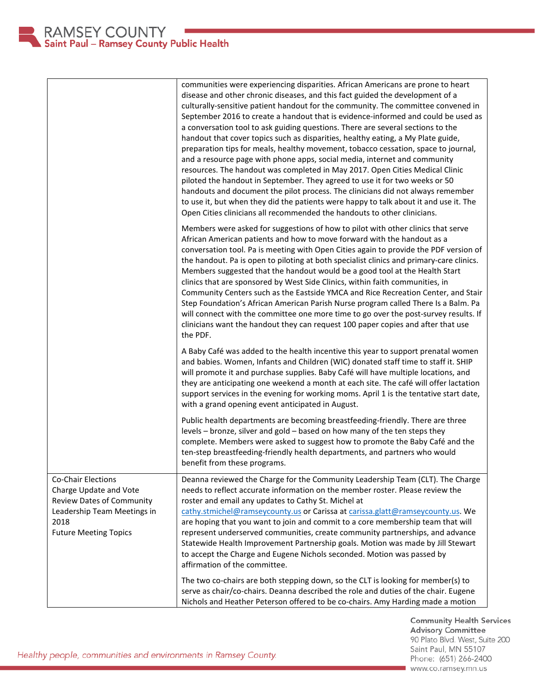|                                                                                                                                                  | communities were experiencing disparities. African Americans are prone to heart<br>disease and other chronic diseases, and this fact guided the development of a<br>culturally-sensitive patient handout for the community. The committee convened in<br>September 2016 to create a handout that is evidence-informed and could be used as<br>a conversation tool to ask guiding questions. There are several sections to the<br>handout that cover topics such as disparities, healthy eating, a My Plate guide,<br>preparation tips for meals, healthy movement, tobacco cessation, space to journal,<br>and a resource page with phone apps, social media, internet and community<br>resources. The handout was completed in May 2017. Open Cities Medical Clinic<br>piloted the handout in September. They agreed to use it for two weeks or 50<br>handouts and document the pilot process. The clinicians did not always remember<br>to use it, but when they did the patients were happy to talk about it and use it. The<br>Open Cities clinicians all recommended the handouts to other clinicians. |
|--------------------------------------------------------------------------------------------------------------------------------------------------|-------------------------------------------------------------------------------------------------------------------------------------------------------------------------------------------------------------------------------------------------------------------------------------------------------------------------------------------------------------------------------------------------------------------------------------------------------------------------------------------------------------------------------------------------------------------------------------------------------------------------------------------------------------------------------------------------------------------------------------------------------------------------------------------------------------------------------------------------------------------------------------------------------------------------------------------------------------------------------------------------------------------------------------------------------------------------------------------------------------|
|                                                                                                                                                  | Members were asked for suggestions of how to pilot with other clinics that serve<br>African American patients and how to move forward with the handout as a<br>conversation tool. Pa is meeting with Open Cities again to provide the PDF version of<br>the handout. Pa is open to piloting at both specialist clinics and primary-care clinics.<br>Members suggested that the handout would be a good tool at the Health Start<br>clinics that are sponsored by West Side Clinics, within faith communities, in<br>Community Centers such as the Eastside YMCA and Rice Recreation Center, and Stair<br>Step Foundation's African American Parish Nurse program called There Is a Balm. Pa<br>will connect with the committee one more time to go over the post-survey results. If<br>clinicians want the handout they can request 100 paper copies and after that use<br>the PDF.                                                                                                                                                                                                                         |
|                                                                                                                                                  | A Baby Café was added to the health incentive this year to support prenatal women<br>and babies. Women, Infants and Children (WIC) donated staff time to staff it. SHIP<br>will promote it and purchase supplies. Baby Café will have multiple locations, and<br>they are anticipating one weekend a month at each site. The café will offer lactation<br>support services in the evening for working moms. April 1 is the tentative start date,<br>with a grand opening event anticipated in August.                                                                                                                                                                                                                                                                                                                                                                                                                                                                                                                                                                                                       |
|                                                                                                                                                  | Public health departments are becoming breastfeeding-friendly. There are three<br>levels - bronze, silver and gold - based on how many of the ten steps they<br>complete. Members were asked to suggest how to promote the Baby Café and the<br>ten-step breastfeeding-friendly health departments, and partners who would<br>benefit from these programs.                                                                                                                                                                                                                                                                                                                                                                                                                                                                                                                                                                                                                                                                                                                                                  |
| Co-Chair Elections<br>Charge Update and Vote<br>Review Dates of Community<br>Leadership Team Meetings in<br>2018<br><b>Future Meeting Topics</b> | Deanna reviewed the Charge for the Community Leadership Team (CLT). The Charge<br>needs to reflect accurate information on the member roster. Please review the<br>roster and email any updates to Cathy St. Michel at<br>cathy.stmichel@ramseycounty.us or Carissa at carissa.glatt@ramseycounty.us. We<br>are hoping that you want to join and commit to a core membership team that will<br>represent underserved communities, create community partnerships, and advance<br>Statewide Health Improvement Partnership goals. Motion was made by Jill Stewart<br>to accept the Charge and Eugene Nichols seconded. Motion was passed by<br>affirmation of the committee.                                                                                                                                                                                                                                                                                                                                                                                                                                  |
|                                                                                                                                                  | The two co-chairs are both stepping down, so the CLT is looking for member(s) to<br>serve as chair/co-chairs. Deanna described the role and duties of the chair. Eugene<br>Nichols and Heather Peterson offered to be co-chairs. Amy Harding made a motion                                                                                                                                                                                                                                                                                                                                                                                                                                                                                                                                                                                                                                                                                                                                                                                                                                                  |

**Community Health Services<br>Advisory Committee** 90 Plato Blvd. West, Suite 200 Saint Paul, MN 55107 Phone: (651) 266-2400 www.co.ramsey.mn.us